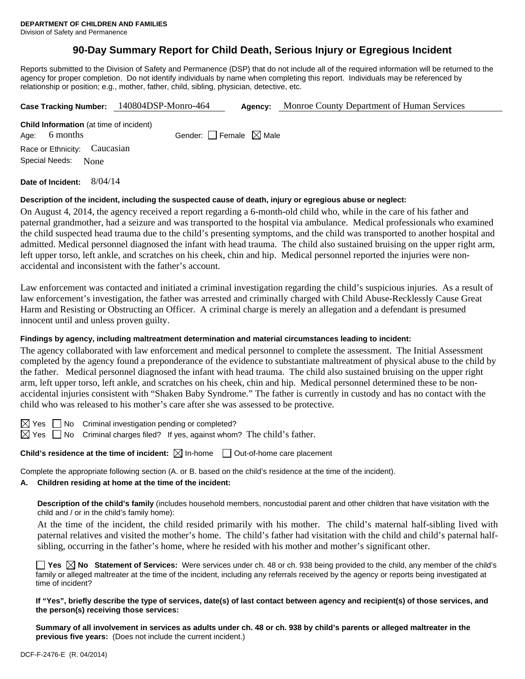# **90-Day Summary Report for Child Death, Serious Injury or Egregious Incident**

Reports submitted to the Division of Safety and Permanence (DSP) that do not include all of the required information will be returned to the agency for proper completion. Do not identify individuals by name when completing this report. Individuals may be referenced by relationship or position; e.g., mother, father, child, sibling, physician, detective, etc.

|                                                | Case Tracking Number: 140804DSP-Monro-464 | Agency: | Monroe County Department of Human Services |
|------------------------------------------------|-------------------------------------------|---------|--------------------------------------------|
| <b>Child Information</b> (at time of incident) |                                           |         |                                            |
| 6 months<br>Age:                               | Gender: Female $\boxtimes$ Male           |         |                                            |
| Race or Ethnicity: Caucasian                   |                                           |         |                                            |
| Special Needs:<br>None                         |                                           |         |                                            |
| 8/04/14<br>Date of Incident:                   |                                           |         |                                            |

#### **Description of the incident, including the suspected cause of death, injury or egregious abuse or neglect:**

On August 4, 2014, the agency received a report regarding a 6-month-old child who, while in the care of his father and paternal grandmother, had a seizure and was transported to the hospital via ambulance. Medical professionals who examined the child suspected head trauma due to the child's presenting symptoms, and the child was transported to another hospital and admitted. Medical personnel diagnosed the infant with head trauma. The child also sustained bruising on the upper right arm, left upper torso, left ankle, and scratches on his cheek, chin and hip. Medical personnel reported the injuries were nonaccidental and inconsistent with the father's account.

Law enforcement was contacted and initiated a criminal investigation regarding the child's suspicious injuries. As a result of law enforcement's investigation, the father was arrested and criminally charged with Child Abuse-Recklessly Cause Great Harm and Resisting or Obstructing an Officer. A criminal charge is merely an allegation and a defendant is presumed innocent until and unless proven guilty.

#### **Findings by agency, including maltreatment determination and material circumstances leading to incident:**

The agency collaborated with law enforcement and medical personnel to complete the assessment. The Initial Assessment completed by the agency found a preponderance of the evidence to substantiate maltreatment of physical abuse to the child by the father. Medical personnel diagnosed the infant with head trauma. The child also sustained bruising on the upper right arm, left upper torso, left ankle, and scratches on his cheek, chin and hip. Medical personnel determined these to be nonaccidental injuries consistent with "Shaken Baby Syndrome." The father is currently in custody and has no contact with the child who was released to his mother's care after she was assessed to be protective.

 $\boxtimes$  Yes  $\Box$  No Criminal investigation pending or completed?

 $\boxtimes$  Yes  $\Box$  No Criminal charges filed? If yes, against whom? The child's father.

**Child's residence at the time of incident:**  $\boxtimes$  In-home  $\Box$  Out-of-home care placement

Complete the appropriate following section (A. or B. based on the child's residence at the time of the incident).

# **A. Children residing at home at the time of the incident:**

**Description of the child's family** (includes household members, noncustodial parent and other children that have visitation with the child and / or in the child's family home):

 At the time of the incident, the child resided primarily with his mother. The child's maternal half-sibling lived with paternal relatives and visited the mother's home. The child's father had visitation with the child and child's paternal halfsibling, occurring in the father's home, where he resided with his mother and mother's significant other.

**Yes**  $\boxtimes$  No Statement of Services: Were services under ch. 48 or ch. 938 being provided to the child, any member of the child's family or alleged maltreater at the time of the incident, including any referrals received by the agency or reports being investigated at time of incident?

**If "Yes", briefly describe the type of services, date(s) of last contact between agency and recipient(s) of those services, and the person(s) receiving those services:**

**Summary of all involvement in services as adults under ch. 48 or ch. 938 by child's parents or alleged maltreater in the previous five years:** (Does not include the current incident.)